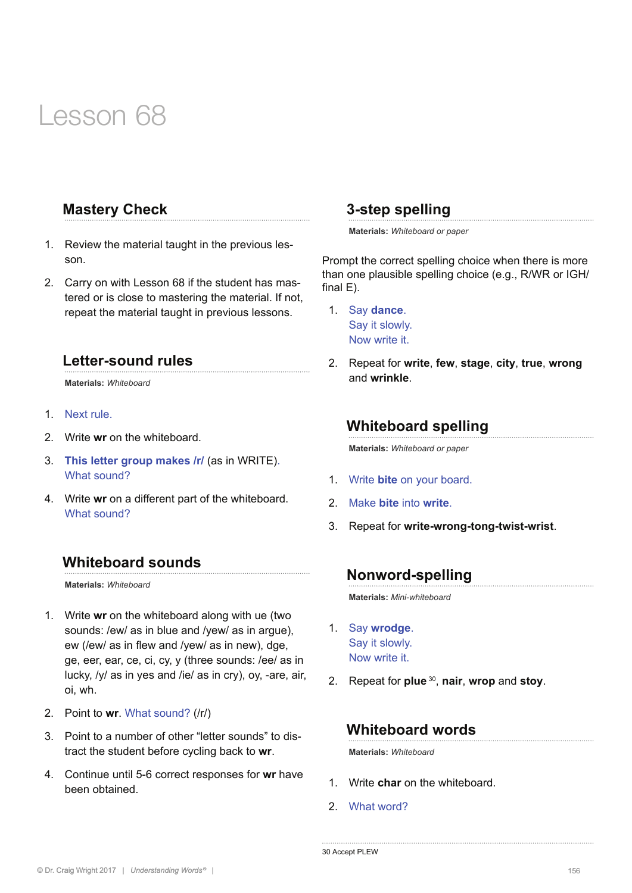## **Mastery Check**

- 1. Review the material taught in the previous lesson.
- 2. Carry on with Lesson 68 if the student has mastered or is close to mastering the material. If not, repeat the material taught in previous lessons.

#### **Letter-sound rules**

**Materials:** *Whiteboard* 

- 1. Next rule.
- 2. Write **wr** on the whiteboard.
- 3. **This letter group makes /r/** (as in WRITE). What sound?
- 4. Write **wr** on a different part of the whiteboard. What sound?

#### **Whiteboard sounds**

**Materials:** *Whiteboard* 

- 1. Write **wr** on the whiteboard along with ue (two sounds: /ew/ as in blue and /yew/ as in argue), ew (/ew/ as in flew and /vew/ as in new), dge, ge, eer, ear, ce, ci, cy, y (three sounds: /ee/ as in lucky, /y/ as in yes and /ie/ as in cry), oy, -are, air, oi, wh.
- 2. Point to **wr**. What sound? (/r/)
- 3. Point to a number of other "letter sounds" to distract the student before cycling back to **wr**.
- 4. Continue until 5-6 correct responses for **wr** have been obtained.

### **3-step spelling**

**Materials:** *Whiteboard or paper*

Prompt the correct spelling choice when there is more than one plausible spelling choice (e.g., R/WR or IGH/ final E).

- 1. Say **dance**. Say it slowly. Now write it.
- 2. Repeat for **write**, **few**, **stage**, **city**, **true**, **wrong**  and **wrinkle**.

### **Whiteboard spelling**

**Materials:** *Whiteboard or paper*

- 1. Write **bite** on your board.
- 2. Make **bite** into **write**.
- 3. Repeat for **write-wrong-tong-twist-wrist**.

#### **Nonword-spelling**

**Materials:** *Mini-whiteboard*

- 1. Say **wrodge**. Say it slowly. Now write it.
- 2. Repeat for **plue** 30, **nair**, **wrop** and **stoy**.

#### **Whiteboard words**

**Materials:** *Whiteboard*

- 1. Write **char** on the whiteboard.
- 2. What word?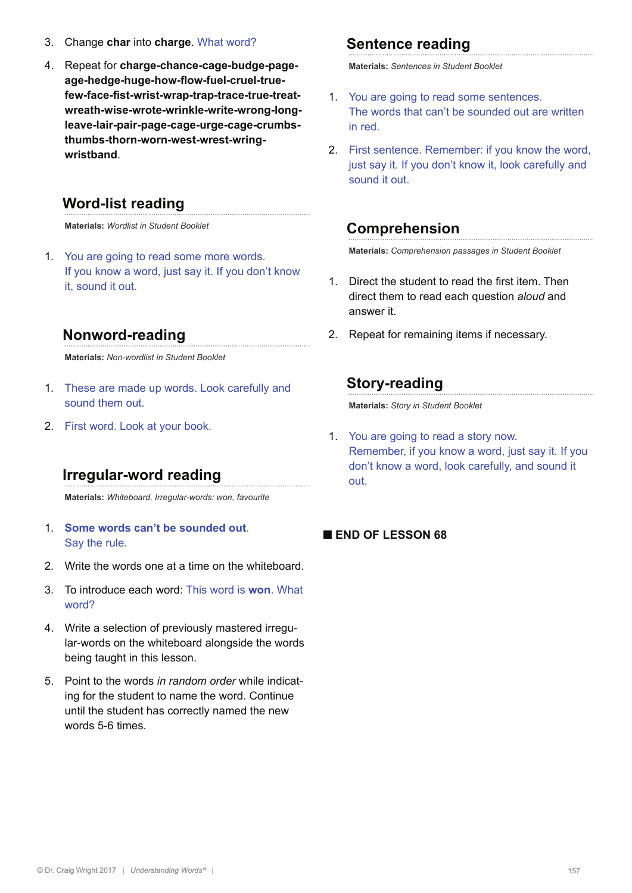- 3. Change **char** into **charge**. What word?
- 4. Repeat for **charge-chance-cage-budge-pageage-hedge-huge-how-flow-fuel-cruel-truefew-face-fist-wrist-wrap-trap-trace-true-treatwreath-wise-wrote-wrinkle-write-wrong-longleave-lair-pair-page-cage-urge-cage-crumbsthumbs-thorn-worn-west-wrest-wringwristband**.

## **Word-list reading**

**Materials:** *Wordlist in Student Booklet*

1. You are going to read some more words. If you know a word, just say it. If you don't know it, sound it out.

## **Nonword-reading**

**Materials:** *Non-wordlist in Student Booklet*

- 1. These are made up words. Look carefully and sound them out.
- 2. First word. Look at your book.

## **Irregular-word reading**

**Materials:** *Whiteboard, Irregular-words: won, favourite*

- 1. **Some words can't be sounded out**. Say the rule.
- 2. Write the words one at a time on the whiteboard.
- 3. To introduce each word: This word is **won**. What word?
- 4. Write a selection of previously mastered irregular-words on the whiteboard alongside the words being taught in this lesson.
- 5. Point to the words *in random order* while indicating for the student to name the word. Continue until the student has correctly named the new words 5-6 times.

## **Sentence reading**

**Materials:** *Sentences in Student Booklet* 

- 1. You are going to read some sentences. The words that can't be sounded out are written in red.
- 2. First sentence. Remember: if you know the word, just say it. If you don't know it, look carefully and sound it out.

## **Comprehension**

**Materials:** *Comprehension passages in Student Booklet*

- 1. Direct the student to read the first item. Then direct them to read each question *aloud* and answer it.
- 2. Repeat for remaining items if necessary.

## **Story-reading**

**Materials:** *Story in Student Booklet* 

1. You are going to read a story now. Remember, if you know a word, just say it. If you don't know a word, look carefully, and sound it out.

#### **■ END OF LESSON 68**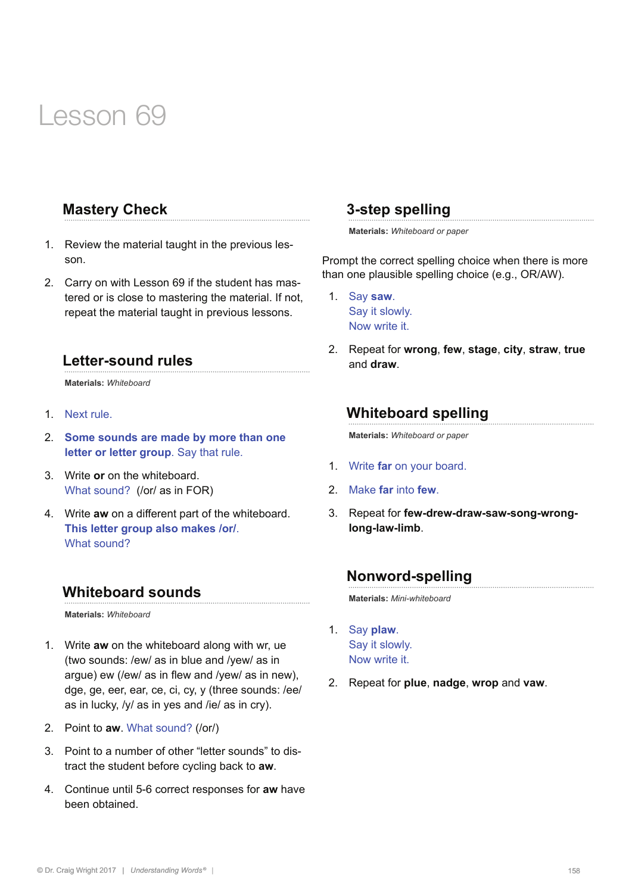## **Mastery Check**

- 1. Review the material taught in the previous lesson.
- 2. Carry on with Lesson 69 if the student has mastered or is close to mastering the material. If not, repeat the material taught in previous lessons.

#### **Letter-sound rules**

**Materials:** *Whiteboard* 

- 1. Next rule.
- 2. **Some sounds are made by more than one letter or letter group**. Say that rule.
- 3. Write **or** on the whiteboard. What sound? (/or/ as in FOR)
- 4. Write **aw** on a different part of the whiteboard. **This letter group also makes /or/**. What sound?

#### **Whiteboard sounds**

**Materials:** *Whiteboard* 

- 1. Write **aw** on the whiteboard along with wr, ue (two sounds: /ew/ as in blue and /yew/ as in argue) ew (/ew/ as in flew and /yew/ as in new), dge, ge, eer, ear, ce, ci, cy, y (three sounds: /ee/ as in lucky, /y/ as in yes and /ie/ as in cry).
- 2. Point to **aw**. What sound? (/or/)
- 3. Point to a number of other "letter sounds" to distract the student before cycling back to **aw**.
- 4. Continue until 5-6 correct responses for **aw** have been obtained.

#### **3-step spelling**

**Materials:** *Whiteboard or paper*

Prompt the correct spelling choice when there is more than one plausible spelling choice (e.g., OR/AW).

- 1. Say **saw**. Say it slowly. Now write it.
- 2. Repeat for **wrong**, **few**, **stage**, **city**, **straw**, **true**  and **draw**.

## **Whiteboard spelling**

**Materials:** *Whiteboard or paper*

- 1. Write **far** on your board.
- 2. Make **far** into **few**.
- 3. Repeat for **few-drew-draw-saw-song-wronglong-law-limb**.

## **Nonword-spelling**

**Materials:** *Mini-whiteboard*

- 1. Say **plaw**. Say it slowly. Now write it.
- 2. Repeat for **plue**, **nadge**, **wrop** and **vaw**.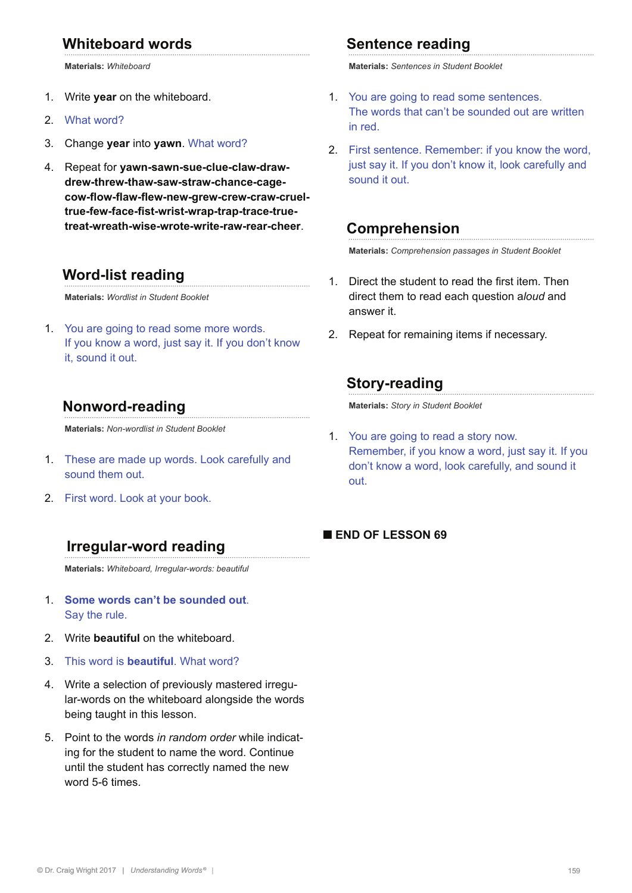## **Whiteboard words**

**Materials:** *Whiteboard*

- 1. Write **year** on the whiteboard.
- 2. What word?
- 3. Change **year** into **yawn**. What word?
- 4. Repeat for **yawn-sawn-sue-clue-claw-drawdrew-threw-thaw-saw-straw-chance-cagecow-flow-flaw-flew-new-grew-crew-craw-crueltrue-few-face-fist-wrist-wrap-trap-trace-truetreat-wreath-wise-wrote-write-raw-rear-cheer**.

#### **Word-list reading**

**Materials:** *Wordlist in Student Booklet*

1. You are going to read some more words. If you know a word, just say it. If you don't know it, sound it out.

#### **Nonword-reading**

**Materials:** *Non-wordlist in Student Booklet*

- 1. These are made up words. Look carefully and sound them out.
- 2. First word. Look at your book.

#### **Irregular-word reading**

**Materials:** *Whiteboard, Irregular-words: beautiful*

- 1. **Some words can't be sounded out**. Say the rule.
- 2. Write **beautiful** on the whiteboard.
- 3. This word is **beautiful**. What word?
- 4. Write a selection of previously mastered irregular-words on the whiteboard alongside the words being taught in this lesson.
- 5. Point to the words *in random order* while indicating for the student to name the word. Continue until the student has correctly named the new word 5-6 times.

#### **Sentence reading**

**Materials:** *Sentences in Student Booklet* 

- 1. You are going to read some sentences. The words that can't be sounded out are written in red.
- 2. First sentence. Remember: if you know the word, just say it. If you don't know it, look carefully and sound it out.

#### **Comprehension**

**Materials:** *Comprehension passages in Student Booklet*

- 1. Direct the student to read the first item. Then direct them to read each question a*loud* and answer it.
- 2. Repeat for remaining items if necessary.

### **Story-reading**

**Materials:** *Story in Student Booklet* 

1. You are going to read a story now. Remember, if you know a word, just say it. If you don't know a word, look carefully, and sound it out.

#### **■ END OF LESSON 69**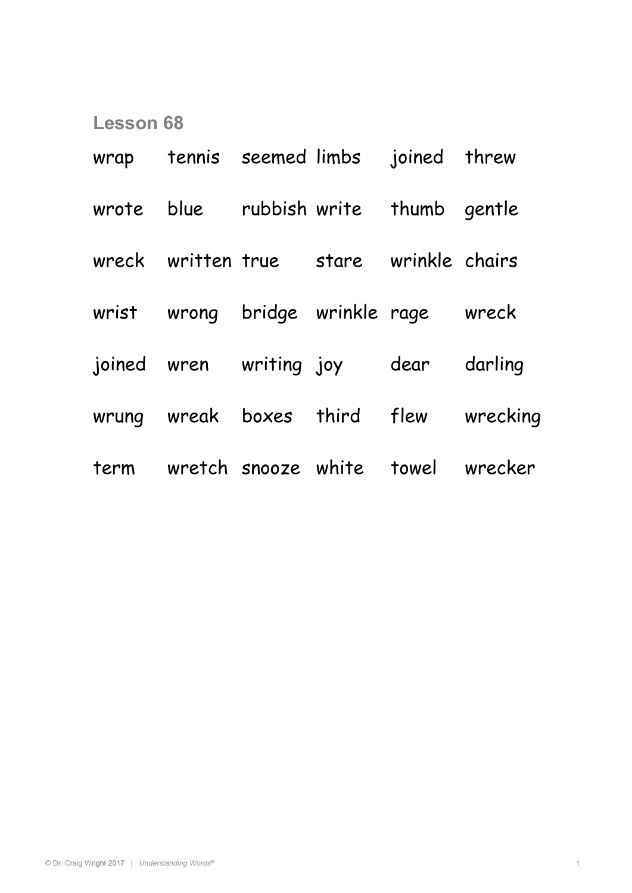| wrap tennis seemed limbs joined threw   |  |                                        |
|-----------------------------------------|--|----------------------------------------|
| wrote blue rubbish write thumb gentle   |  |                                        |
| wreck written true stare wrinkle chairs |  |                                        |
| wrist wrong bridge wrinkle rage wreck   |  |                                        |
| joined wren writing joy  dear           |  | darling                                |
|                                         |  | wrung wreak boxes third flew wrecking  |
|                                         |  | term wretch snooze white towel wrecker |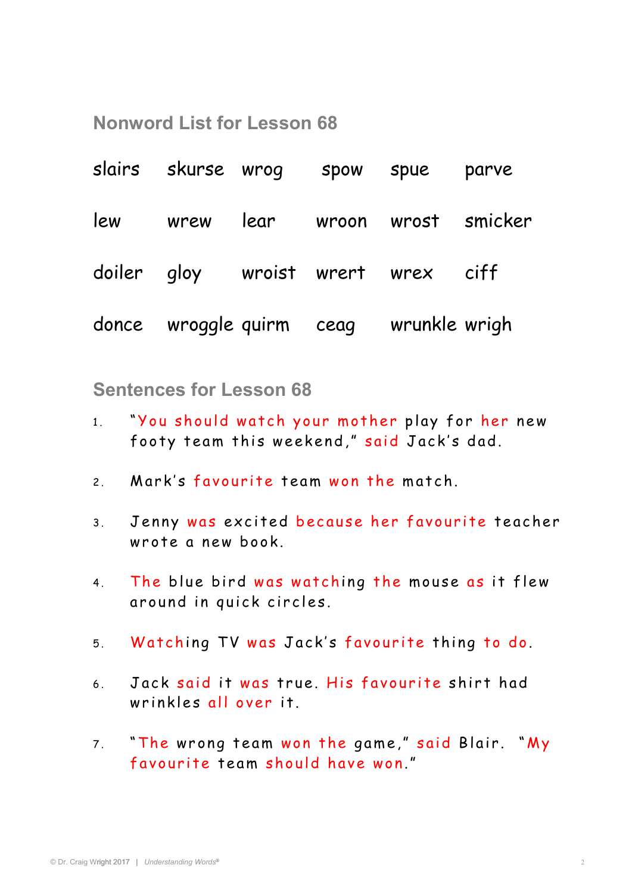**Nonword List for Lesson 68**

| slairs skurse wrog spow spue |  |                                        | parve                             |
|------------------------------|--|----------------------------------------|-----------------------------------|
|                              |  |                                        | lew wrew lear wroon wrost smicker |
|                              |  | doiler gloy wroist wrert wrex ciff     |                                   |
|                              |  | donce wroggle quirm ceag wrunkle wrigh |                                   |

**Sentences for Lesson 68** 

- 1. "You should watch your mother play for her new footy team this weekend," said Jack's dad.
- 2. Mark's favourite team won the match.
- 3. Jenny was excited because her favourite teacher wr ote a new book.
- 4. The blue bird was watching the mouse as it flew around in quick circles.
- 5. Watching TV was Jack's favourite thing to do.
- 6. Jack said it was true. His favourite shirt had wrinkles all over it.
- 7. "The wrong team won the game," said Blair. "My favourite team should have won."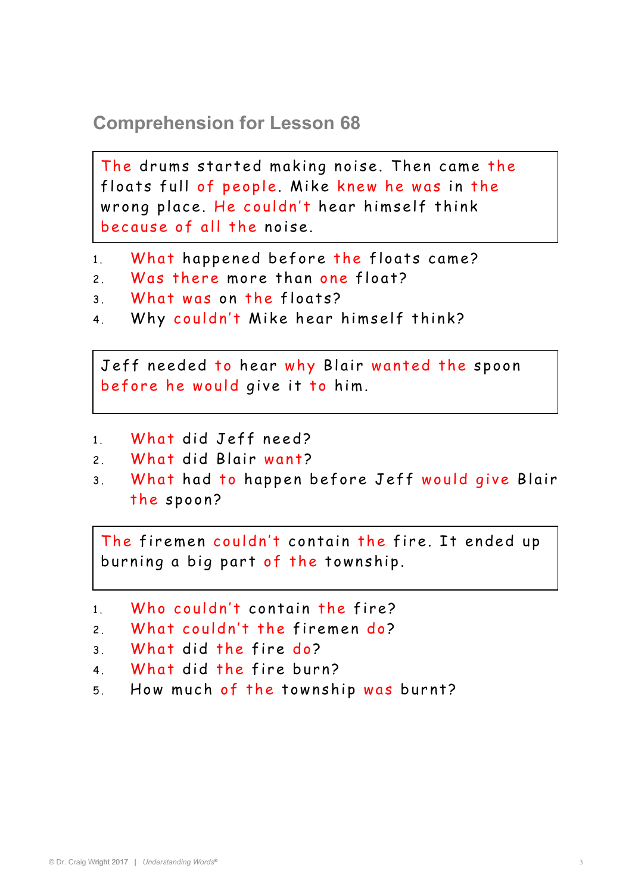## **Comprehension for Lesson 68**

floats full of people. Mike knew he was in the The drums started making noise. Then came the wrong place. He couldn't hear himself think because of all the noise.

- 1. What happened before the floats came?
- 2. Was there more than one float?
- 3. What was on the floats?
- 4. Why couldn't Mike hear himself think?

before he would give it to him. Jeff needed to hear why Blair wanted the spoon

- 1 What did Jeff need?
- 2 What did Blair want?
- 3. What had to happen before Jeff would give Blair the spoon?

burning a big part of the township. The firemen couldn't contain the fire. It ended up

1. Who couldn't contain the fire?

```
2. What couldn't the firemen do?
```

```
3 What did the fire do?
```
- 4 What did the fire burn?
- 5. How much of the township was burnt?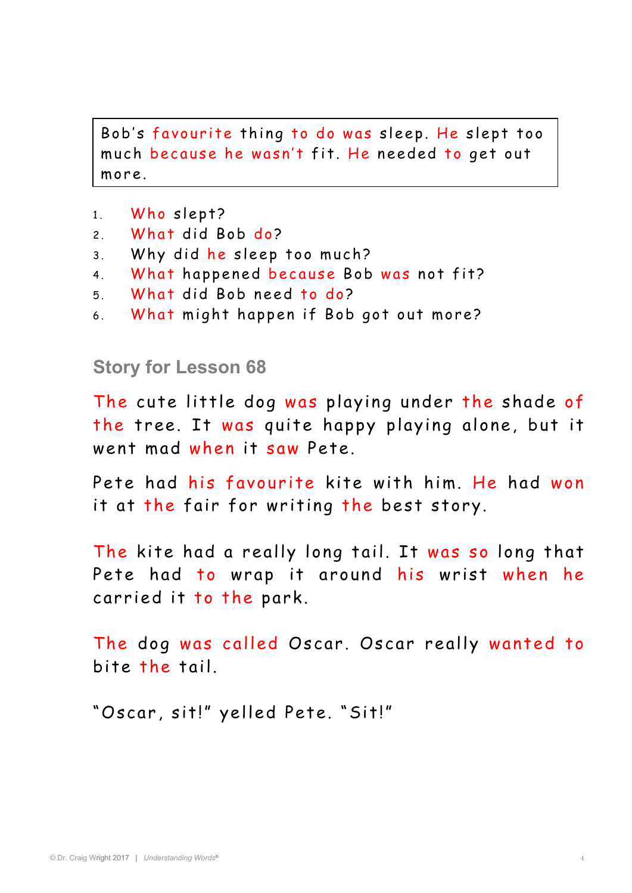much because he wasn't fit. He needed to get out Bob's favourite thing to do was sleep. He slept too more.

- 1. Who slept?
- 2. What did Bob do?
- 3. Why did he sleep too much?
- 4. What happened because Bob was not fit?
- 5 . What did Bob need to do ?
- 6. What might happen if Bob got out more?

## **Story for Lesson 68**

The cute little dog was playing under the shade of the tree. It was quite happy playing alone, but it went mad when it saw Pete.

Pete had his favourite kite with him. He had won it at the fair for writing the best story.

The kite had a really long tail. It was so long that Pete had to wrap it around his wrist when he carried it to the park.

The dog was called Oscar. Oscar really wanted to bite the tail.

"Oscar, sit!" yelled Pete. "Sit!"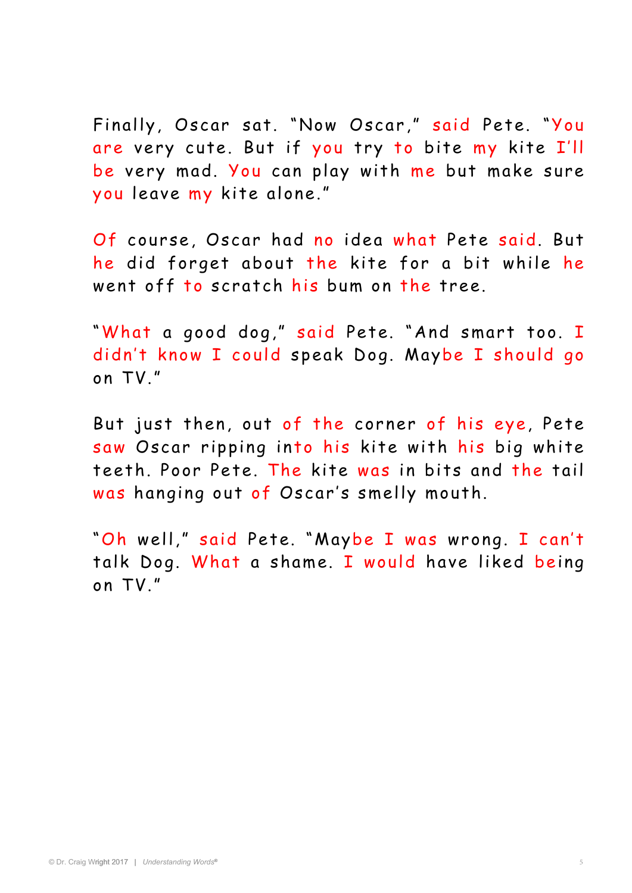Finally, Oscar sat. "Now Oscar," said Pete. "You are very cute. But if you try to bite my kite I'll be very mad. You can play with me but make sure you leave my kite alone."

Of course, Oscar had no idea what Pete said. But he did forget about the kite for a bit while he went off to scratch his bum on the tree.

"What a good dog," said Pete. "And smart too. I didn't know I could speak Dog. Maybe I should go on TV."

But just then, out of the corner of his eye, Pete saw Oscar ripping into his kite with his big white teeth. Poor Pete. The kite was in bits and the tail was hanging out of Oscar's smelly mouth.

"Oh well," said Pete. "Maybe I was wrong. I can't talk Dog. What a shame. I would have liked being on TV."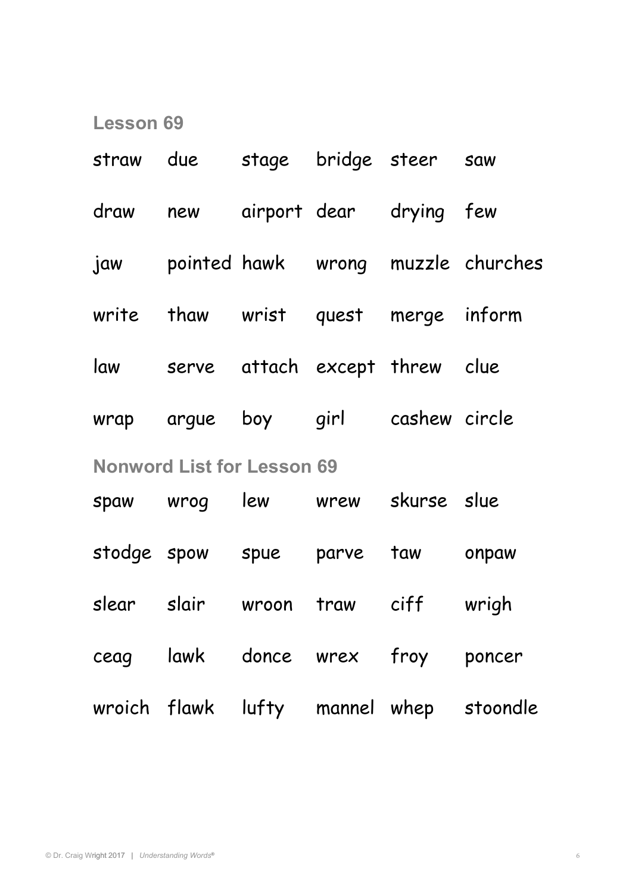| straw                             | due stage bridge steer saw          |  |  |  |                                         |  |  |
|-----------------------------------|-------------------------------------|--|--|--|-----------------------------------------|--|--|
|                                   | draw new airport dear drying few    |  |  |  |                                         |  |  |
|                                   |                                     |  |  |  | jaw pointed hawk wrong muzzle churches  |  |  |
|                                   | write thaw wrist quest merge inform |  |  |  |                                         |  |  |
| law                               | serve attach except threw clue      |  |  |  |                                         |  |  |
|                                   | wrap argue boy girl cashew circle   |  |  |  |                                         |  |  |
| <b>Nonword List for Lesson 69</b> |                                     |  |  |  |                                         |  |  |
|                                   | spaw wrog lew wrew skurse slue      |  |  |  |                                         |  |  |
|                                   | stodge spow spue parve taw onpaw    |  |  |  |                                         |  |  |
|                                   | slear slair wroon traw ciff wrigh   |  |  |  |                                         |  |  |
|                                   | ceag lawk donce wrex froy poncer    |  |  |  |                                         |  |  |
|                                   |                                     |  |  |  | wroich flawk lufty mannel whep stoondle |  |  |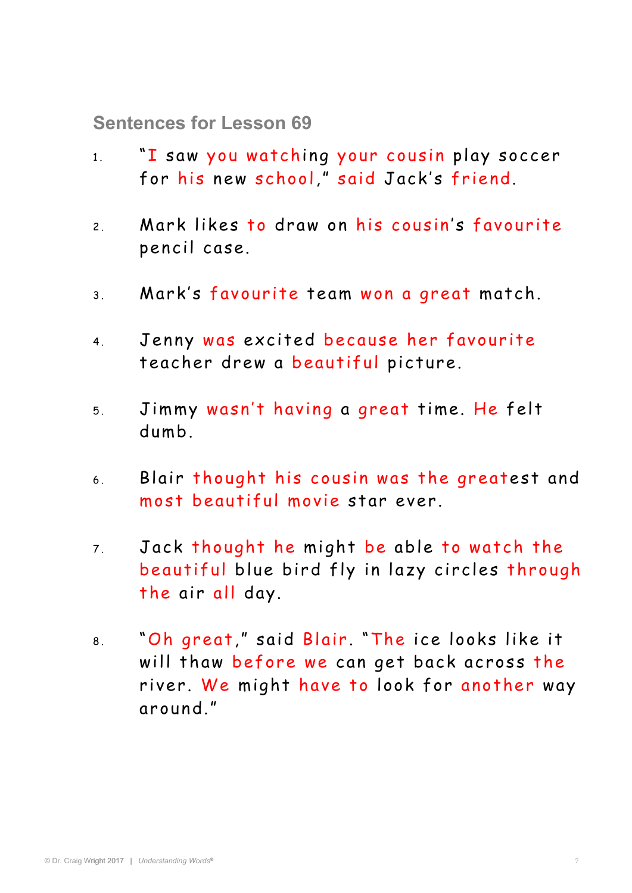**Sentences for Lesson 69** 

- 1 . "I saw you watching your cousin play soccer for his new school," said Jack's friend.
- 2. Mark likes to draw on his cousin's favourite pencil case.
- 3 . Mark's favourite team won a great match.
- 4. Jenny was excited because her favourite teacher drew a beautiful picture.
- 5 . Jimmy wasn't having a great time. He felt dumb.
- 6 . Blair thought his cousin was the greatest and most beautiful movie star ever.
- 7. Jack thought he might be able to watch the beautiful blue bird fly in lazy circles through the air all day.
- 8 . "Oh great ," said Blair . "The ice looks like it will thaw before we can get back across the river. We might have to look for another way a round."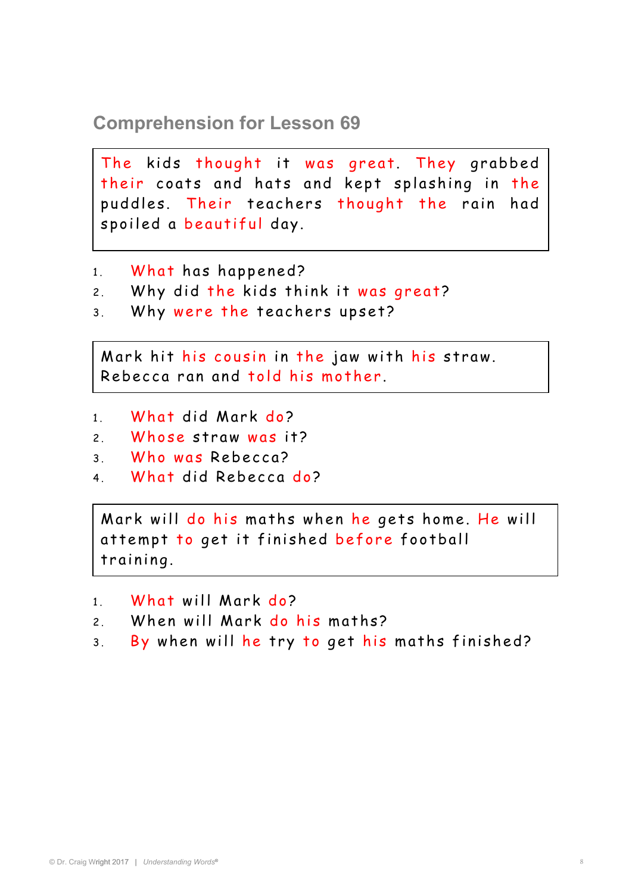**Comprehension for Lesson 69** 

The kids thought it was great. They grabbed their coats and hats and kept splashing in the puddles. Their teachers thought the rain had spoiled a beautiful day.

- 1. What has happened?
- 2. Why did the kids think it was great?
- 3 . Why were the teachers upset?

Mark hit his cousin in the jaw with his straw. Rebecca ran and told his mother.

- 1. What did Mark do?
- 2 Whose straw was it?
- 3 . Who was Rebecca?
- 4 What did Rebecca do?

attempt to get it finished before football Mark will do his maths when he gets home. He will training.

- 1 What will Mark do?
- 2 When will Mark do his maths?
- 3. By when will he try to get his maths finished?